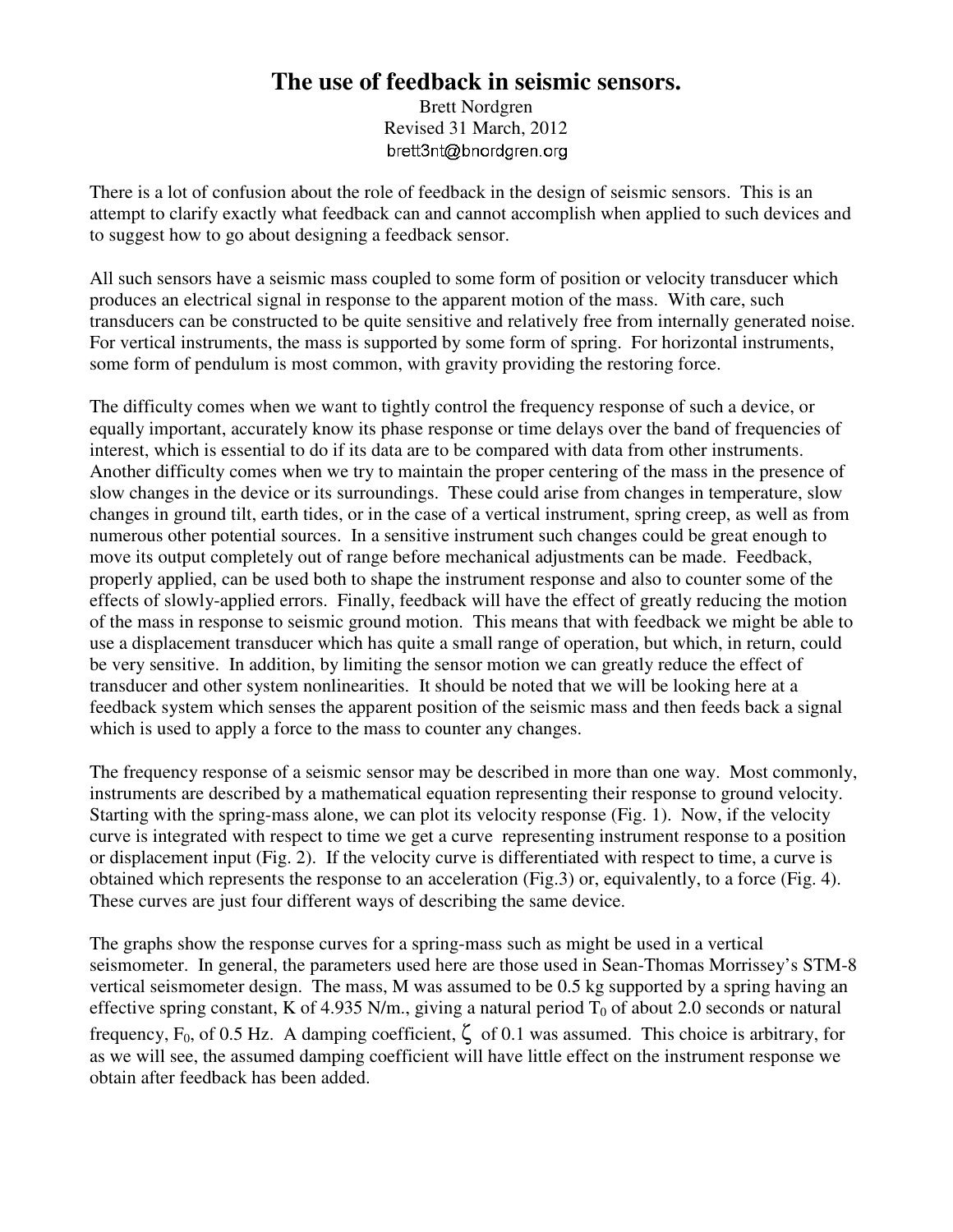# **The use of feedback in seismic sensors.**

Brett Nordgren Revised 31 March, 2012 brett3nt@bnordgren.org

There is a lot of confusion about the role of feedback in the design of seismic sensors. This is an attempt to clarify exactly what feedback can and cannot accomplish when applied to such devices and to suggest how to go about designing a feedback sensor.

All such sensors have a seismic mass coupled to some form of position or velocity transducer which produces an electrical signal in response to the apparent motion of the mass. With care, such transducers can be constructed to be quite sensitive and relatively free from internally generated noise. For vertical instruments, the mass is supported by some form of spring. For horizontal instruments, some form of pendulum is most common, with gravity providing the restoring force.

The difficulty comes when we want to tightly control the frequency response of such a device, or equally important, accurately know its phase response or time delays over the band of frequencies of interest, which is essential to do if its data are to be compared with data from other instruments. Another difficulty comes when we try to maintain the proper centering of the mass in the presence of slow changes in the device or its surroundings. These could arise from changes in temperature, slow changes in ground tilt, earth tides, or in the case of a vertical instrument, spring creep, as well as from numerous other potential sources. In a sensitive instrument such changes could be great enough to move its output completely out of range before mechanical adjustments can be made. Feedback, properly applied, can be used both to shape the instrument response and also to counter some of the effects of slowly-applied errors. Finally, feedback will have the effect of greatly reducing the motion of the mass in response to seismic ground motion. This means that with feedback we might be able to use a displacement transducer which has quite a small range of operation, but which, in return, could be very sensitive. In addition, by limiting the sensor motion we can greatly reduce the effect of transducer and other system nonlinearities. It should be noted that we will be looking here at a feedback system which senses the apparent position of the seismic mass and then feeds back a signal which is used to apply a force to the mass to counter any changes.

The frequency response of a seismic sensor may be described in more than one way. Most commonly, instruments are described by a mathematical equation representing their response to ground velocity. Starting with the spring-mass alone, we can plot its velocity response (Fig. 1). Now, if the velocity curve is integrated with respect to time we get a curve representing instrument response to a position or displacement input (Fig. 2). If the velocity curve is differentiated with respect to time, a curve is obtained which represents the response to an acceleration (Fig.3) or, equivalently, to a force (Fig. 4). These curves are just four different ways of describing the same device.

The graphs show the response curves for a spring-mass such as might be used in a vertical seismometer. In general, the parameters used here are those used in Sean-Thomas Morrissey's STM-8 vertical seismometer design. The mass, M was assumed to be 0.5 kg supported by a spring having an effective spring constant, K of 4.935 N/m., giving a natural period  $T_0$  of about 2.0 seconds or natural frequency, F<sub>0</sub>, of 0.5 Hz. A damping coefficient,  $\zeta$  of 0.1 was assumed. This choice is arbitrary, for as we will see, the assumed damping coefficient will have little effect on the instrument response we obtain after feedback has been added.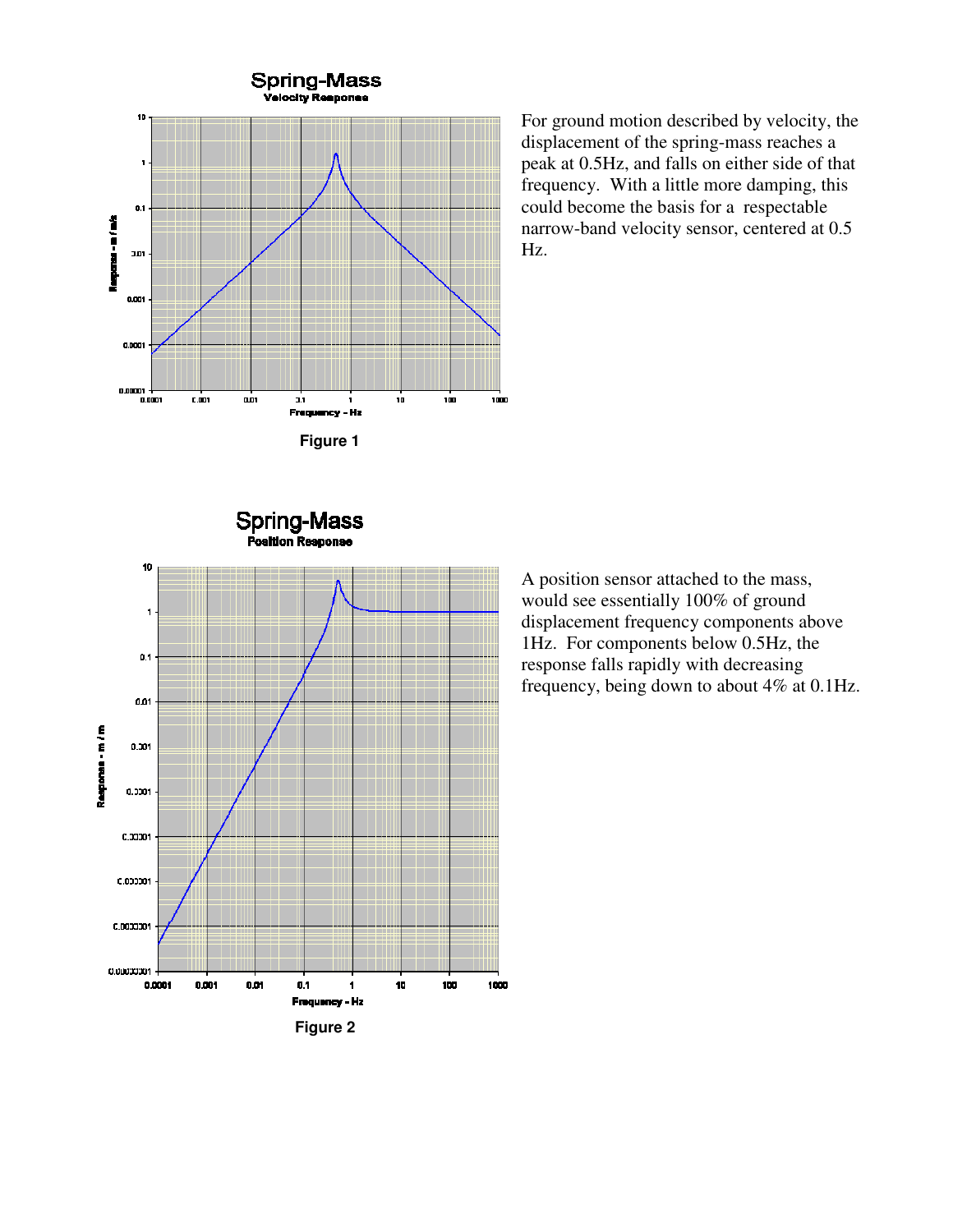

For ground motion described by velocity, the displacement of the spring-mass reaches a peak at 0.5Hz, and falls on either side of that frequency. With a little more damping, this could become the basis for a respectable narrow-band velocity sensor, centered at 0.5 Hz.



A position sensor attached to the mass, would see essentially 100% of ground displacement frequency components above 1Hz. For components below 0.5Hz, the response falls rapidly with decreasing frequency, being down to about 4% at 0.1Hz.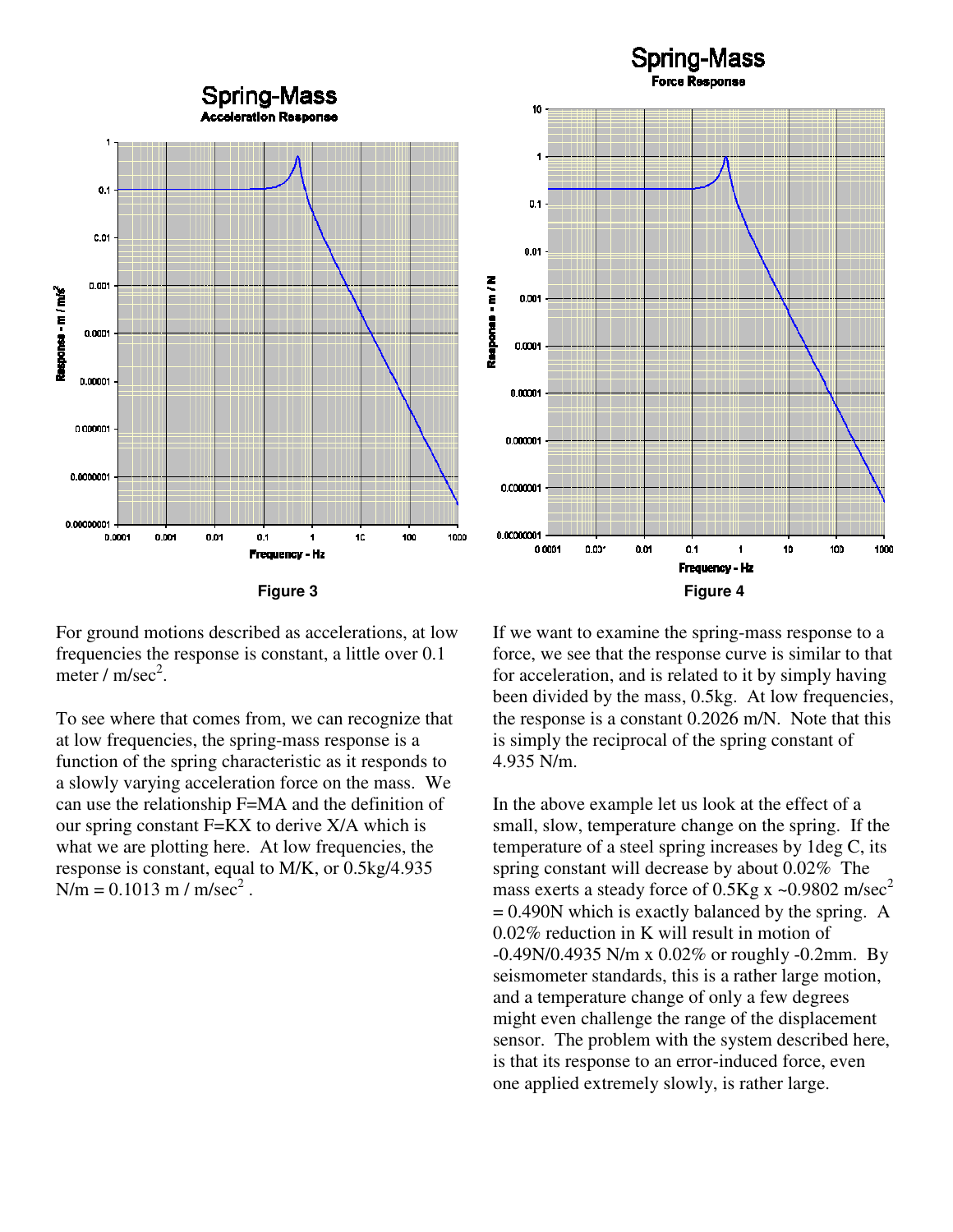



For ground motions described as accelerations, at low frequencies the response is constant, a little over 0.1 meter /  $m/sec<sup>2</sup>$ .

To see where that comes from, we can recognize that at low frequencies, the spring-mass response is a function of the spring characteristic as it responds to a slowly varying acceleration force on the mass. We can use the relationship F=MA and the definition of our spring constant F=KX to derive X/A which is what we are plotting here. At low frequencies, the response is constant, equal to M/K, or 0.5kg/4.935  $N/m = 0.1013$  m / m/sec<sup>2</sup>.

If we want to examine the spring-mass response to a force, we see that the response curve is similar to that for acceleration, and is related to it by simply having been divided by the mass, 0.5kg. At low frequencies, the response is a constant 0.2026 m/N. Note that this is simply the reciprocal of the spring constant of 4.935 N/m.

In the above example let us look at the effect of a small, slow, temperature change on the spring. If the temperature of a steel spring increases by 1deg C, its spring constant will decrease by about 0.02% The mass exerts a steady force of  $0.5\text{Kg}$  x ~0.9802 m/sec<sup>2</sup>  $= 0.490N$  which is exactly balanced by the spring. A 0.02% reduction in K will result in motion of -0.49N/0.4935 N/m x 0.02% or roughly -0.2mm. By seismometer standards, this is a rather large motion, and a temperature change of only a few degrees might even challenge the range of the displacement sensor. The problem with the system described here, is that its response to an error-induced force, even one applied extremely slowly, is rather large.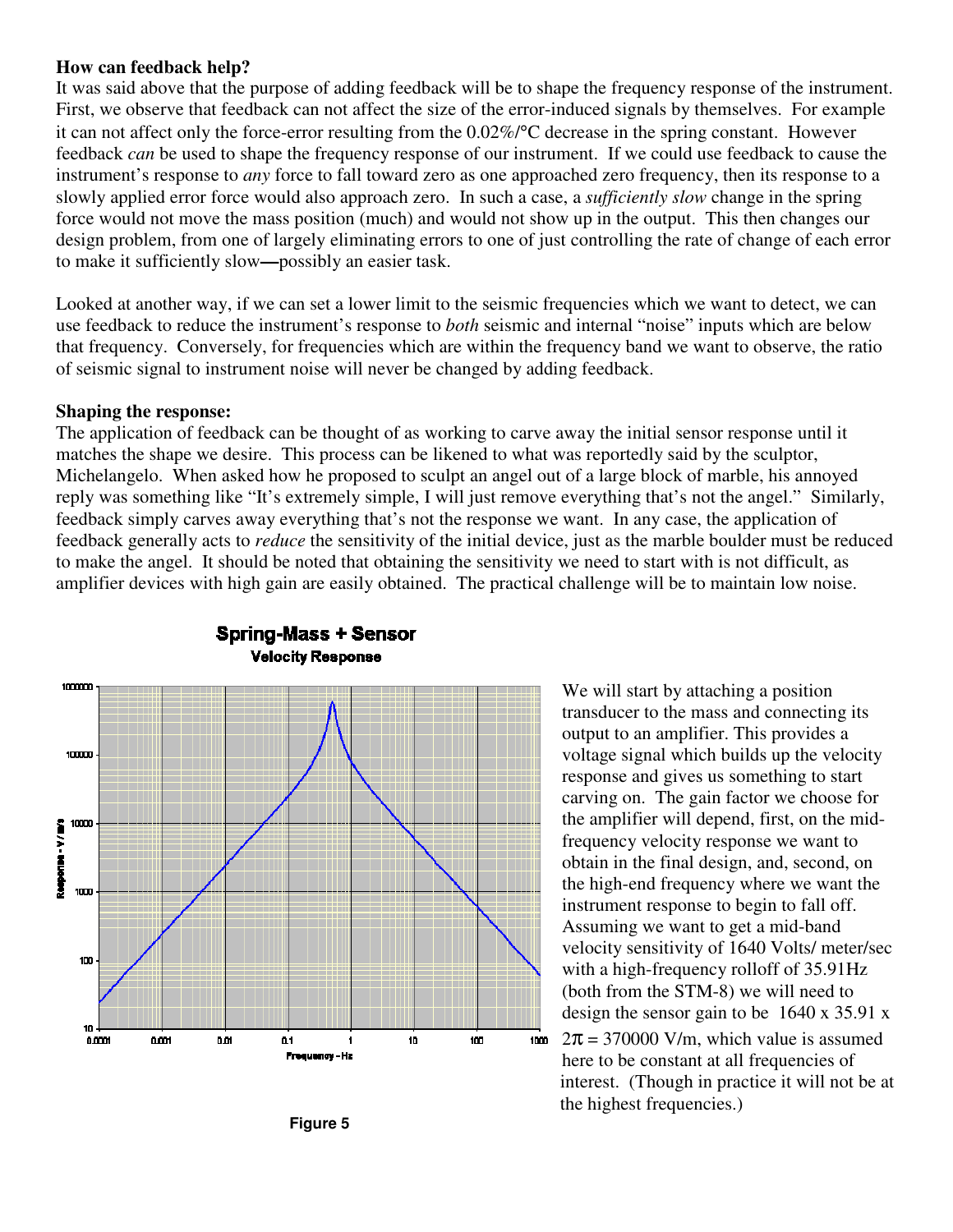#### **How can feedback help?**

It was said above that the purpose of adding feedback will be to shape the frequency response of the instrument. First, we observe that feedback can not affect the size of the error-induced signals by themselves. For example it can not affect only the force-error resulting from the 0.02%/°C decrease in the spring constant. However feedback *can* be used to shape the frequency response of our instrument. If we could use feedback to cause the instrument's response to *any* force to fall toward zero as one approached zero frequency, then its response to a slowly applied error force would also approach zero. In such a case, a *sufficiently slow* change in the spring force would not move the mass position (much) and would not show up in the output. This then changes our design problem, from one of largely eliminating errors to one of just controlling the rate of change of each error to make it sufficiently slow**—**possibly an easier task.

Looked at another way, if we can set a lower limit to the seismic frequencies which we want to detect, we can use feedback to reduce the instrument's response to *both* seismic and internal "noise" inputs which are below that frequency. Conversely, for frequencies which are within the frequency band we want to observe, the ratio of seismic signal to instrument noise will never be changed by adding feedback.

#### **Shaping the response:**

The application of feedback can be thought of as working to carve away the initial sensor response until it matches the shape we desire. This process can be likened to what was reportedly said by the sculptor, Michelangelo. When asked how he proposed to sculpt an angel out of a large block of marble, his annoyed reply was something like "It's extremely simple, I will just remove everything that's not the angel." Similarly, feedback simply carves away everything that's not the response we want. In any case, the application of feedback generally acts to *reduce* the sensitivity of the initial device, just as the marble boulder must be reduced to make the angel. It should be noted that obtaining the sensitivity we need to start with is not difficult, as amplifier devices with high gain are easily obtained. The practical challenge will be to maintain low noise.



**Spring-Mass + Sensor Velocity Response** 

> We will start by attaching a position transducer to the mass and connecting its output to an amplifier. This provides a voltage signal which builds up the velocity response and gives us something to start carving on. The gain factor we choose for the amplifier will depend, first, on the midfrequency velocity response we want to obtain in the final design, and, second, on the high-end frequency where we want the instrument response to begin to fall off. Assuming we want to get a mid-band velocity sensitivity of 1640 Volts/ meter/sec with a high-frequency rolloff of 35.91Hz (both from the STM-8) we will need to design the sensor gain to be 1640 x 35.91 x

 $2\pi$  = 370000 V/m, which value is assumed here to be constant at all frequencies of interest. (Though in practice it will not be at the highest frequencies.)

**Figure 5**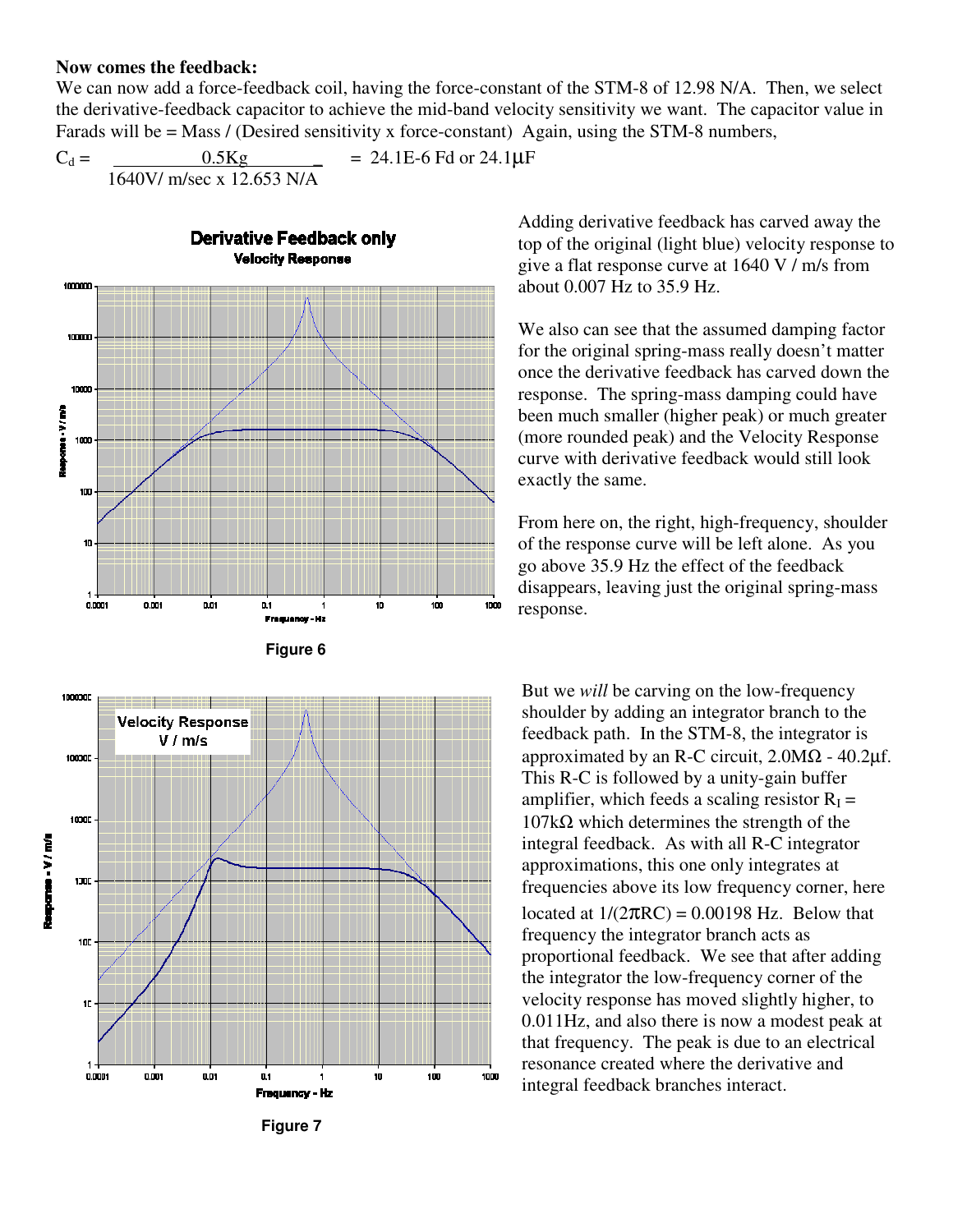#### **Now comes the feedback:**

We can now add a force-feedback coil, having the force-constant of the STM-8 of 12.98 N/A. Then, we select the derivative-feedback capacitor to achieve the mid-band velocity sensitivity we want. The capacitor value in Farads will be = Mass / (Desired sensitivity x force-constant) Again, using the STM-8 numbers,

 $C_d = 0.5Kg = 24.1E-6 \text{ Fd or } 24.1 \mu F$ 1640V/ m/sec x 12.653 N/A







**Figure 7** 

Adding derivative feedback has carved away the top of the original (light blue) velocity response to give a flat response curve at 1640 V / m/s from about 0.007 Hz to 35.9 Hz.

We also can see that the assumed damping factor for the original spring-mass really doesn't matter once the derivative feedback has carved down the response. The spring-mass damping could have been much smaller (higher peak) or much greater (more rounded peak) and the Velocity Response curve with derivative feedback would still look exactly the same.

From here on, the right, high-frequency, shoulder of the response curve will be left alone. As you go above 35.9 Hz the effect of the feedback disappears, leaving just the original spring-mass response.

But we *will* be carving on the low-frequency shoulder by adding an integrator branch to the feedback path. In the STM-8, the integrator is approximated by an R-C circuit,  $2.0M\Omega$  - 40.2µf. This R-C is followed by a unity-gain buffer amplifier, which feeds a scaling resistor  $R_I =$  $107$ kΩ which determines the strength of the integral feedback. As with all R-C integrator approximations, this one only integrates at frequencies above its low frequency corner, here located at  $1/(2\pi RC) = 0.00198$  Hz. Below that frequency the integrator branch acts as proportional feedback. We see that after adding the integrator the low-frequency corner of the velocity response has moved slightly higher, to 0.011Hz, and also there is now a modest peak at that frequency. The peak is due to an electrical resonance created where the derivative and integral feedback branches interact.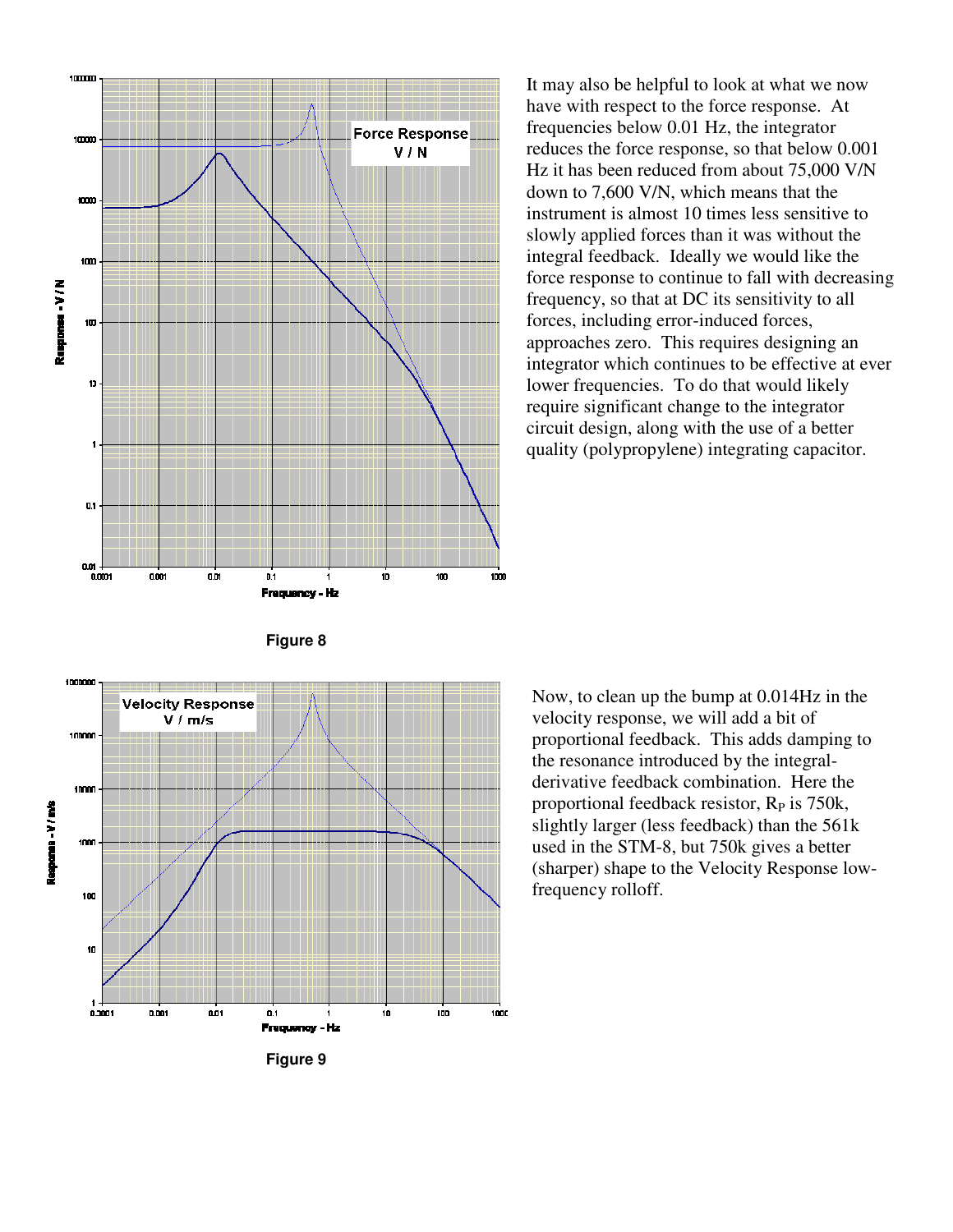

It may also be helpful to look at what we now have with respect to the force response. At frequencies below 0.01 Hz, the integrator reduces the force response, so that below 0.001 Hz it has been reduced from about 75,000 V/N down to 7,600 V/N, which means that the instrument is almost 10 times less sensitive to slowly applied forces than it was without the integral feedback. Ideally we would like the force response to continue to fall with decreasing frequency, so that at DC its sensitivity to all forces, including error-induced forces, approaches zero. This requires designing an integrator which continues to be effective at ever lower frequencies. To do that would likely require significant change to the integrator circuit design, along with the use of a better quality (polypropylene) integrating capacitor.





Now, to clean up the bump at 0.014Hz in the velocity response, we will add a bit of proportional feedback. This adds damping to the resonance introduced by the integralderivative feedback combination. Here the proportional feedback resistor,  $R<sub>P</sub>$  is 750k, slightly larger (less feedback) than the 561k used in the STM-8, but 750k gives a better (sharper) shape to the Velocity Response lowfrequency rolloff.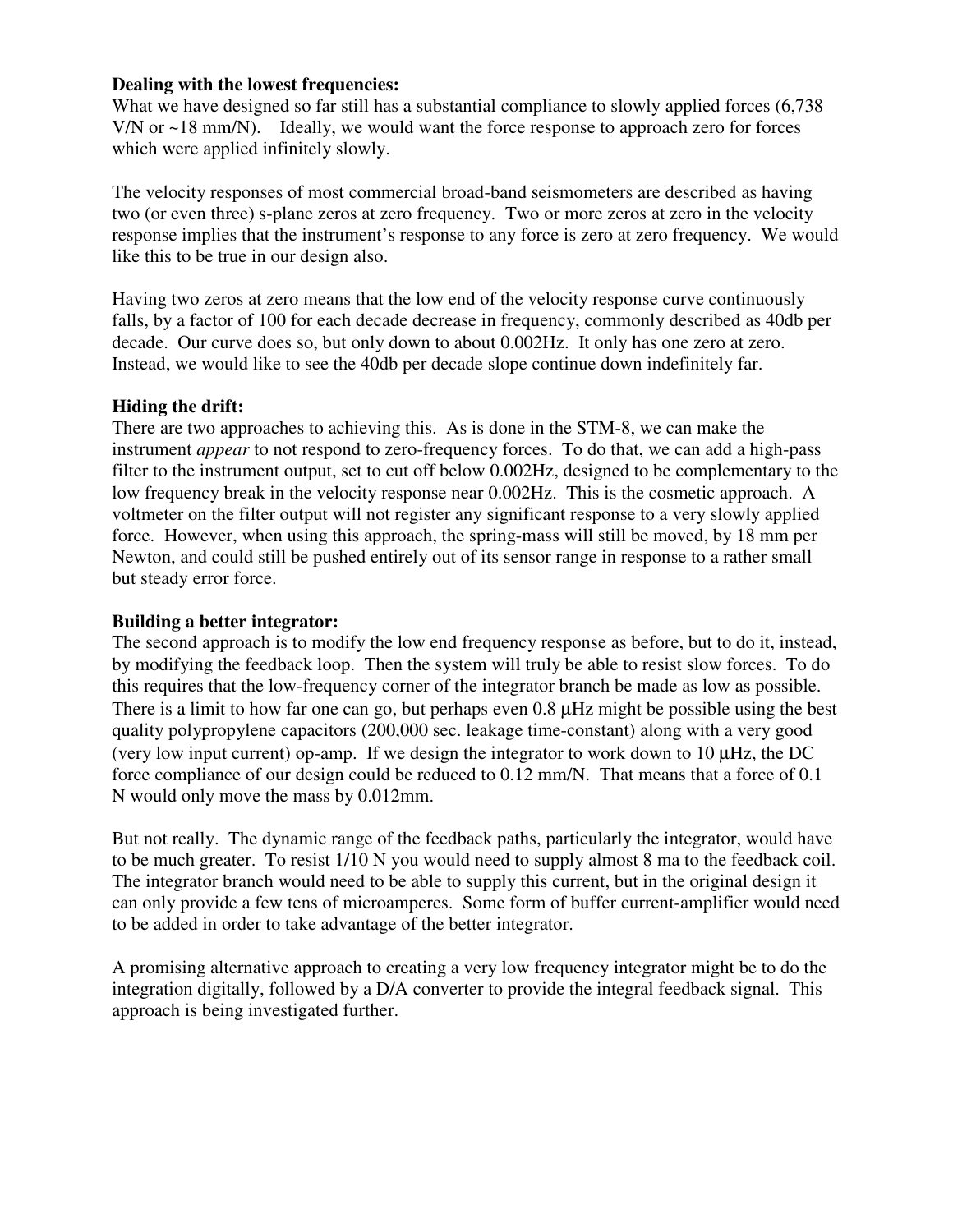### **Dealing with the lowest frequencies:**

What we have designed so far still has a substantial compliance to slowly applied forces  $(6,738)$ V/N or ~18 mm/N). Ideally, we would want the force response to approach zero for forces which were applied infinitely slowly.

The velocity responses of most commercial broad-band seismometers are described as having two (or even three) s-plane zeros at zero frequency. Two or more zeros at zero in the velocity response implies that the instrument's response to any force is zero at zero frequency. We would like this to be true in our design also.

Having two zeros at zero means that the low end of the velocity response curve continuously falls, by a factor of 100 for each decade decrease in frequency, commonly described as 40db per decade. Our curve does so, but only down to about 0.002Hz. It only has one zero at zero. Instead, we would like to see the 40db per decade slope continue down indefinitely far.

#### **Hiding the drift:**

There are two approaches to achieving this. As is done in the STM-8, we can make the instrument *appear* to not respond to zero-frequency forces. To do that, we can add a high-pass filter to the instrument output, set to cut off below 0.002Hz, designed to be complementary to the low frequency break in the velocity response near 0.002Hz. This is the cosmetic approach. A voltmeter on the filter output will not register any significant response to a very slowly applied force. However, when using this approach, the spring-mass will still be moved, by 18 mm per Newton, and could still be pushed entirely out of its sensor range in response to a rather small but steady error force.

#### **Building a better integrator:**

The second approach is to modify the low end frequency response as before, but to do it, instead, by modifying the feedback loop. Then the system will truly be able to resist slow forces. To do this requires that the low-frequency corner of the integrator branch be made as low as possible. There is a limit to how far one can go, but perhaps even 0.8 µHz might be possible using the best quality polypropylene capacitors (200,000 sec. leakage time-constant) along with a very good (very low input current) op-amp. If we design the integrator to work down to 10 µHz, the DC force compliance of our design could be reduced to 0.12 mm/N. That means that a force of 0.1 N would only move the mass by 0.012mm.

But not really. The dynamic range of the feedback paths, particularly the integrator, would have to be much greater. To resist 1/10 N you would need to supply almost 8 ma to the feedback coil. The integrator branch would need to be able to supply this current, but in the original design it can only provide a few tens of microamperes. Some form of buffer current-amplifier would need to be added in order to take advantage of the better integrator.

A promising alternative approach to creating a very low frequency integrator might be to do the integration digitally, followed by a D/A converter to provide the integral feedback signal. This approach is being investigated further.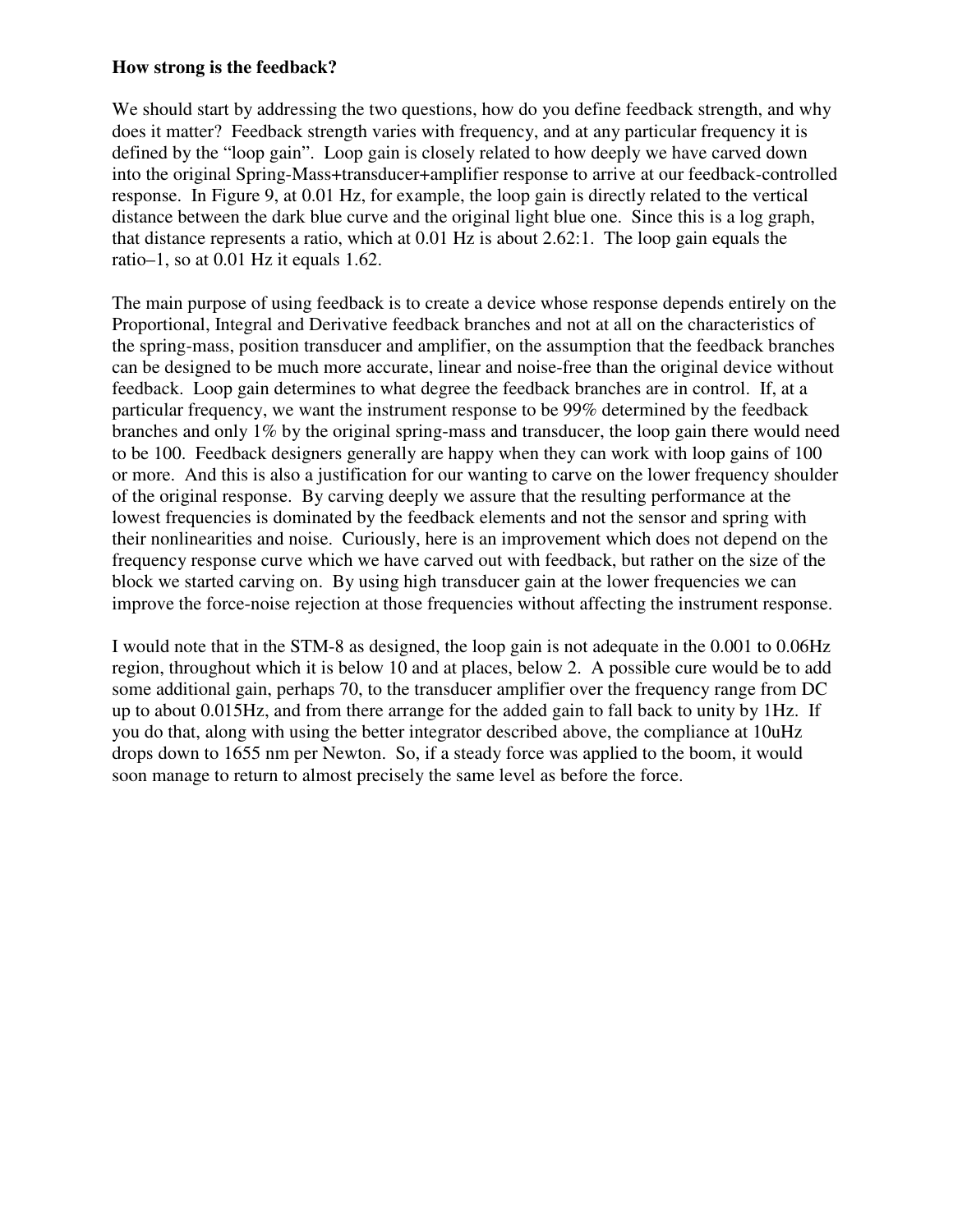### **How strong is the feedback?**

We should start by addressing the two questions, how do you define feedback strength, and why does it matter? Feedback strength varies with frequency, and at any particular frequency it is defined by the "loop gain". Loop gain is closely related to how deeply we have carved down into the original Spring-Mass+transducer+amplifier response to arrive at our feedback-controlled response. In Figure 9, at 0.01 Hz, for example, the loop gain is directly related to the vertical distance between the dark blue curve and the original light blue one. Since this is a log graph, that distance represents a ratio, which at 0.01 Hz is about 2.62:1. The loop gain equals the ratio–1, so at 0.01 Hz it equals 1.62.

The main purpose of using feedback is to create a device whose response depends entirely on the Proportional, Integral and Derivative feedback branches and not at all on the characteristics of the spring-mass, position transducer and amplifier, on the assumption that the feedback branches can be designed to be much more accurate, linear and noise-free than the original device without feedback. Loop gain determines to what degree the feedback branches are in control. If, at a particular frequency, we want the instrument response to be 99% determined by the feedback branches and only 1% by the original spring-mass and transducer, the loop gain there would need to be 100. Feedback designers generally are happy when they can work with loop gains of 100 or more. And this is also a justification for our wanting to carve on the lower frequency shoulder of the original response. By carving deeply we assure that the resulting performance at the lowest frequencies is dominated by the feedback elements and not the sensor and spring with their nonlinearities and noise. Curiously, here is an improvement which does not depend on the frequency response curve which we have carved out with feedback, but rather on the size of the block we started carving on. By using high transducer gain at the lower frequencies we can improve the force-noise rejection at those frequencies without affecting the instrument response.

I would note that in the STM-8 as designed, the loop gain is not adequate in the 0.001 to 0.06Hz region, throughout which it is below 10 and at places, below 2. A possible cure would be to add some additional gain, perhaps 70, to the transducer amplifier over the frequency range from DC up to about 0.015Hz, and from there arrange for the added gain to fall back to unity by 1Hz. If you do that, along with using the better integrator described above, the compliance at 10uHz drops down to 1655 nm per Newton. So, if a steady force was applied to the boom, it would soon manage to return to almost precisely the same level as before the force.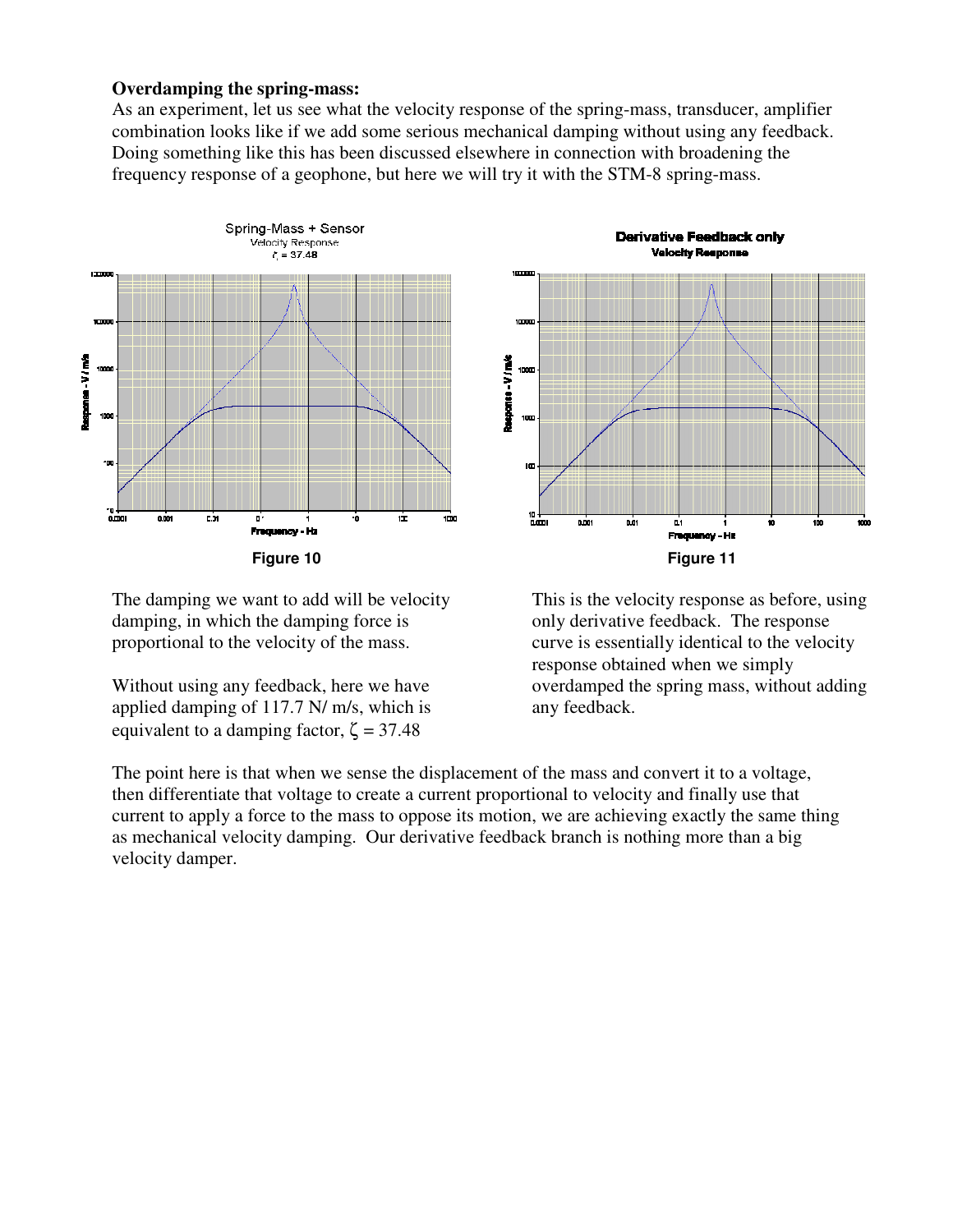#### **Overdamping the spring-mass:**

As an experiment, let us see what the velocity response of the spring-mass, transducer, amplifier combination looks like if we add some serious mechanical damping without using any feedback. Doing something like this has been discussed elsewhere in connection with broadening the frequency response of a geophone, but here we will try it with the STM-8 spring-mass.



The damping we want to add will be velocity damping, in which the damping force is proportional to the velocity of the mass.

Without using any feedback, here we have applied damping of 117.7 N/ m/s, which is equivalent to a damping factor,  $\zeta = 37.48$ 

**Derivative Feedback only** 



This is the velocity response as before, using only derivative feedback. The response curve is essentially identical to the velocity response obtained when we simply overdamped the spring mass, without adding any feedback.

The point here is that when we sense the displacement of the mass and convert it to a voltage, then differentiate that voltage to create a current proportional to velocity and finally use that current to apply a force to the mass to oppose its motion, we are achieving exactly the same thing as mechanical velocity damping. Our derivative feedback branch is nothing more than a big velocity damper.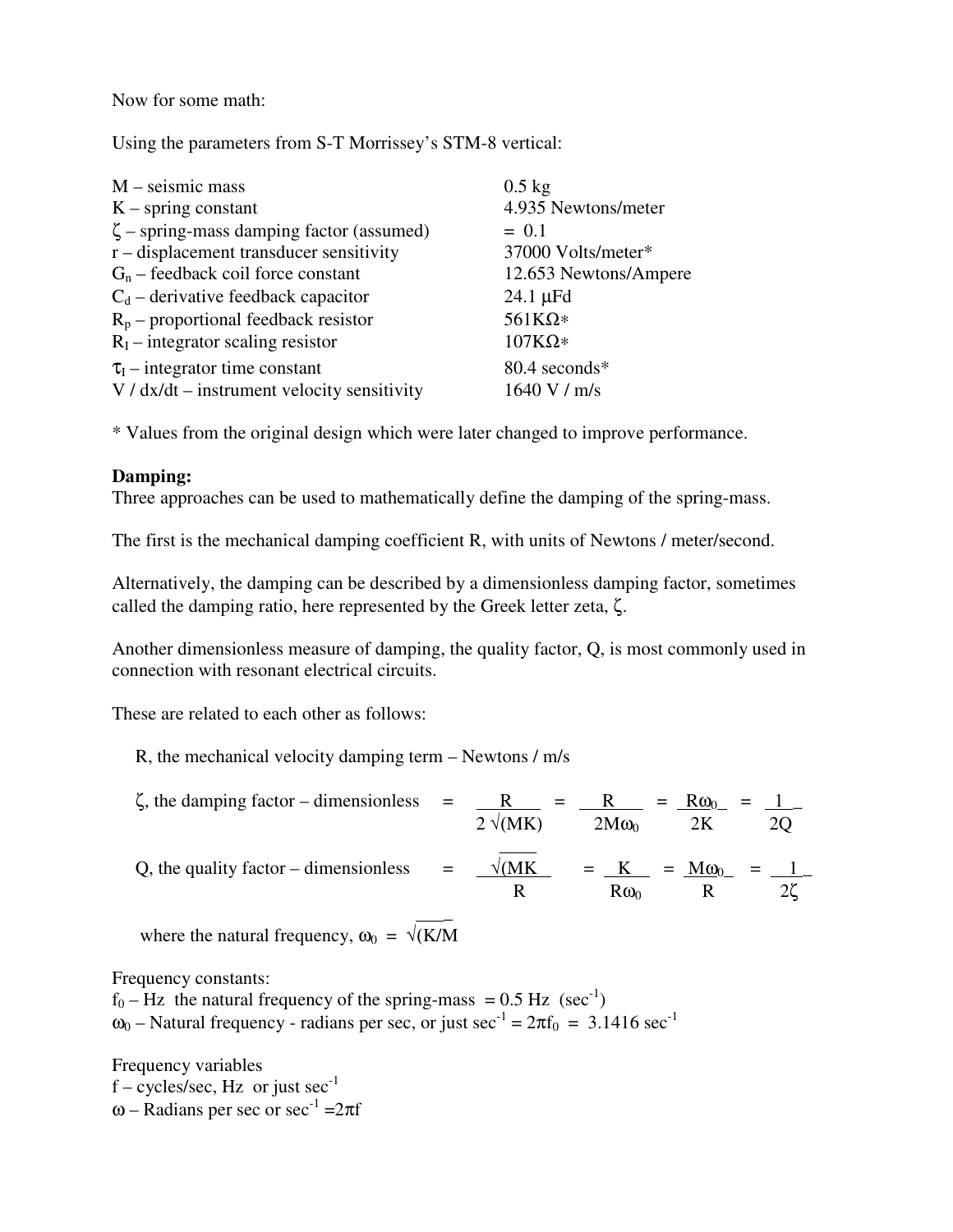Now for some math:

Using the parameters from S-T Morrissey's STM-8 vertical:

| $M$ – seismic mass                             | $0.5$ kg              |
|------------------------------------------------|-----------------------|
| $K$ – spring constant                          | 4.935 Newtons/meter   |
| $\zeta$ – spring-mass damping factor (assumed) | $= 0.1$               |
| $r$ – displacement transducer sensitivity      | 37000 Volts/meter*    |
| $G_n$ – feedback coil force constant           | 12.653 Newtons/Ampere |
| $C_d$ – derivative feedback capacitor          | $24.1 \mu Fd$         |
| $R_p$ – proportional feedback resistor         | $561K\Omega*$         |
| $R_I$ – integrator scaling resistor            | $107K\Omega*$         |
| $\tau_{I}$ – integrator time constant          | 80.4 seconds*         |
| $V / dx/dt$ – instrument velocity sensitivity  | $1640$ V / m/s        |

\* Values from the original design which were later changed to improve performance.

# **Damping:**

Three approaches can be used to mathematically define the damping of the spring-mass.

The first is the mechanical damping coefficient R, with units of Newtons / meter/second.

Alternatively, the damping can be described by a dimensionless damping factor, sometimes called the damping ratio, here represented by the Greek letter zeta, ζ.

Another dimensionless measure of damping, the quality factor, Q, is most commonly used in connection with resonant electrical circuits.

These are related to each other as follows:

R, the mechanical velocity damping term – Newtons / m/s

| $\zeta$ , the damping factor – dimensionless = |     | R<br>$2\sqrt{(MK)}$ | $=$ R<br>$2M\omega_0$ | $=$ R $\omega_0$ =<br>2K | 20 |
|------------------------------------------------|-----|---------------------|-----------------------|--------------------------|----|
| $Q$ , the quality factor – dimensionless       | $=$ | $\sqrt{\text{MK}}$  | $R\omega_0$           | $= K = M\omega_0$        |    |
|                                                |     |                     |                       |                          |    |

where the natural frequency,  $\omega_0 = \sqrt{(K/M)}$ 

Frequency constants:

 $f_0$  – Hz the natural frequency of the spring-mass = 0.5 Hz (sec<sup>-1</sup>)  $\omega_0$  – Natural frequency - radians per sec, or just sec<sup>-1</sup> =  $2\pi f_0$  = 3.1416 sec<sup>-1</sup>

Frequency variables  $f - cycles/sec$ , Hz or just  $sec^{-1}$ ω – Radians per sec or sec<sup>-1</sup> =  $2πf$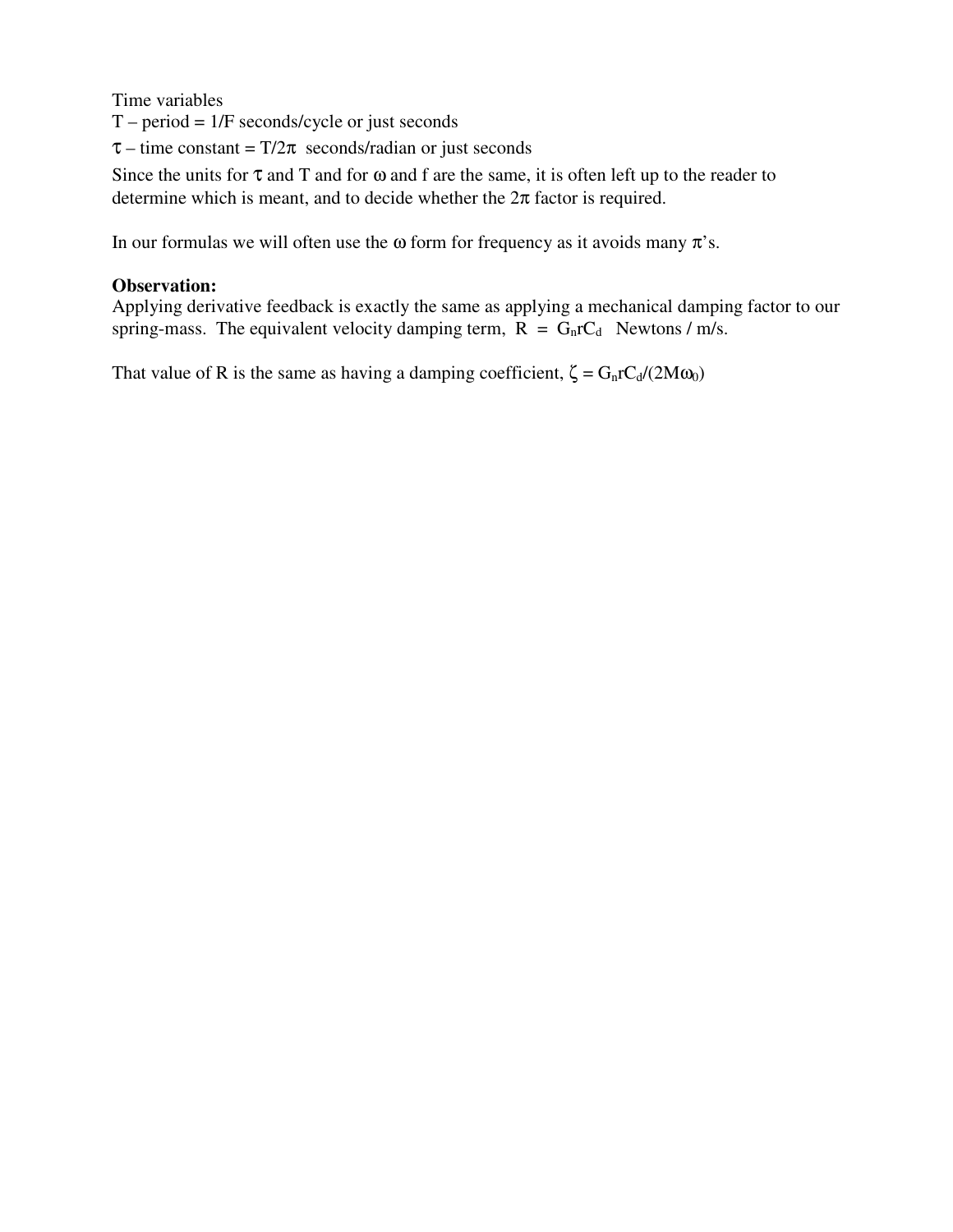Time variables

 $T$  – period = 1/F seconds/cycle or just seconds

 $\tau$  – time constant = T/2 $\pi$  seconds/radian or just seconds

Since the units for  $\tau$  and  $T$  and for  $\omega$  and f are the same, it is often left up to the reader to determine which is meant, and to decide whether the  $2\pi$  factor is required.

In our formulas we will often use the  $\omega$  form for frequency as it avoids many  $\pi$ 's.

## **Observation:**

Applying derivative feedback is exactly the same as applying a mechanical damping factor to our spring-mass. The equivalent velocity damping term,  $R = G_n r C_d$  Newtons / m/s.

That value of R is the same as having a damping coefficient,  $\zeta = G_n r C_d/(2M\omega_0)$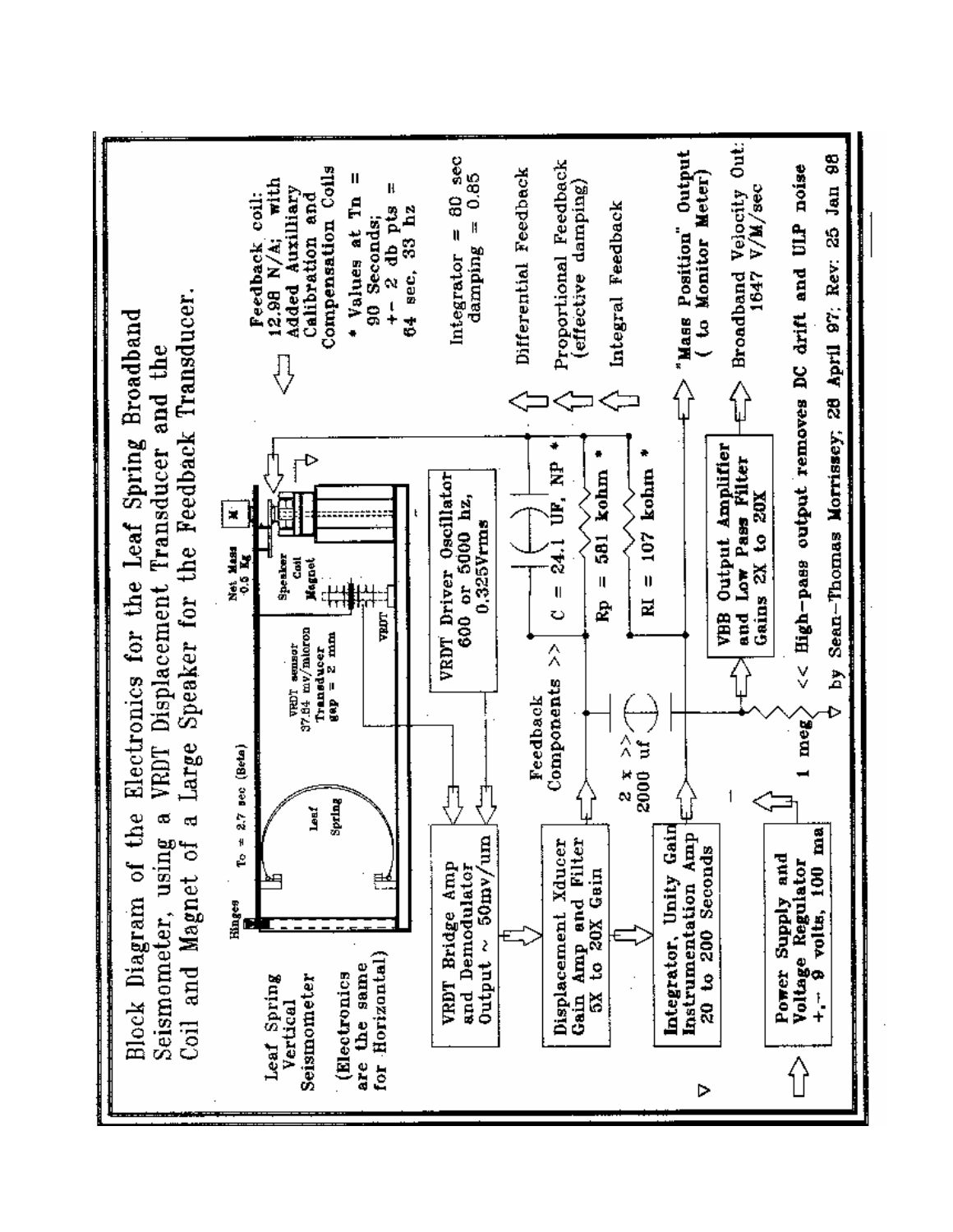